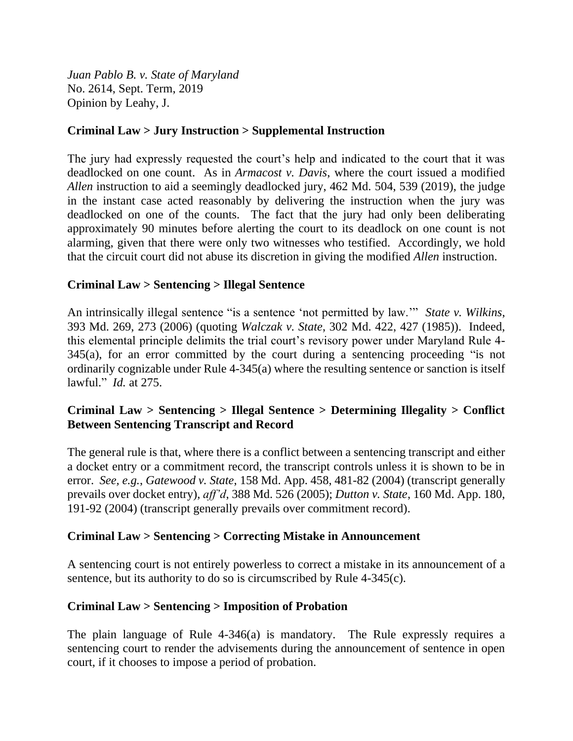*Juan Pablo B. v. State of Maryland* No. 2614, Sept. Term, 2019 Opinion by Leahy, J.

# **Criminal Law > Jury Instruction > Supplemental Instruction**

The jury had expressly requested the court's help and indicated to the court that it was deadlocked on one count. As in *Armacost v. Davis*, where the court issued a modified *Allen* instruction to aid a seemingly deadlocked jury, 462 Md. 504, 539 (2019), the judge in the instant case acted reasonably by delivering the instruction when the jury was deadlocked on one of the counts. The fact that the jury had only been deliberating approximately 90 minutes before alerting the court to its deadlock on one count is not alarming, given that there were only two witnesses who testified. Accordingly, we hold that the circuit court did not abuse its discretion in giving the modified *Allen* instruction.

# **Criminal Law > Sentencing > Illegal Sentence**

An intrinsically illegal sentence "is a sentence 'not permitted by law.'" *State v. Wilkins*, 393 Md. 269, 273 (2006) (quoting *Walczak v. State*, 302 Md. 422, 427 (1985)). Indeed, this elemental principle delimits the trial court's revisory power under Maryland Rule 4- 345(a), for an error committed by the court during a sentencing proceeding "is not ordinarily cognizable under Rule 4-345(a) where the resulting sentence or sanction is itself lawful." *Id.* at 275.

# **Criminal Law > Sentencing > Illegal Sentence > Determining Illegality > Conflict Between Sentencing Transcript and Record**

The general rule is that, where there is a conflict between a sentencing transcript and either a docket entry or a commitment record, the transcript controls unless it is shown to be in error. *See, e.g.*, *Gatewood v. State*, 158 Md. App. 458, 481-82 (2004) (transcript generally prevails over docket entry), *aff'd*, 388 Md. 526 (2005); *Dutton v. State*, 160 Md. App. 180, 191-92 (2004) (transcript generally prevails over commitment record).

## **Criminal Law > Sentencing > Correcting Mistake in Announcement**

A sentencing court is not entirely powerless to correct a mistake in its announcement of a sentence, but its authority to do so is circumscribed by Rule 4-345(c).

## **Criminal Law > Sentencing > Imposition of Probation**

The plain language of Rule 4-346(a) is mandatory. The Rule expressly requires a sentencing court to render the advisements during the announcement of sentence in open court, if it chooses to impose a period of probation.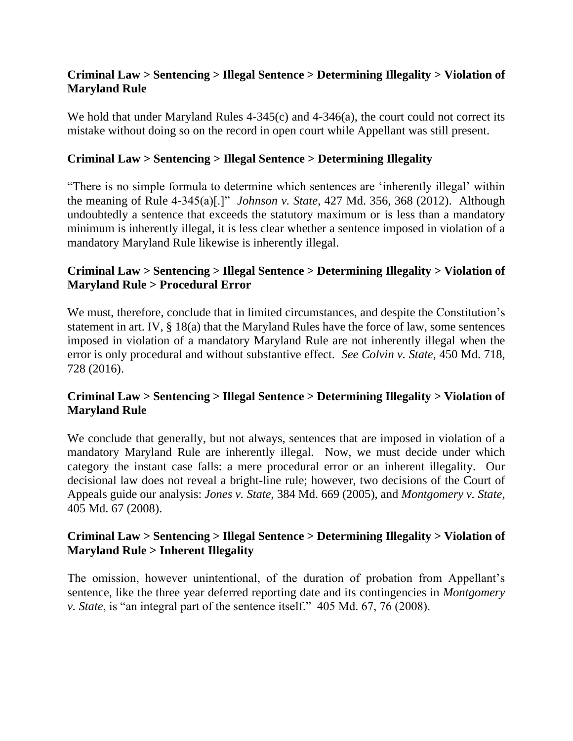# **Criminal Law > Sentencing > Illegal Sentence > Determining Illegality > Violation of Maryland Rule**

We hold that under Maryland Rules 4-345(c) and 4-346(a), the court could not correct its mistake without doing so on the record in open court while Appellant was still present.

# **Criminal Law > Sentencing > Illegal Sentence > Determining Illegality**

"There is no simple formula to determine which sentences are 'inherently illegal' within the meaning of Rule 4-345(a)[.]" *Johnson v. State*, 427 Md. 356, 368 (2012). Although undoubtedly a sentence that exceeds the statutory maximum or is less than a mandatory minimum is inherently illegal, it is less clear whether a sentence imposed in violation of a mandatory Maryland Rule likewise is inherently illegal.

# **Criminal Law > Sentencing > Illegal Sentence > Determining Illegality > Violation of Maryland Rule > Procedural Error**

We must, therefore, conclude that in limited circumstances, and despite the Constitution's statement in art. IV, § 18(a) that the Maryland Rules have the force of law, some sentences imposed in violation of a mandatory Maryland Rule are not inherently illegal when the error is only procedural and without substantive effect. *See Colvin v. State*, 450 Md. 718, 728 (2016).

# **Criminal Law > Sentencing > Illegal Sentence > Determining Illegality > Violation of Maryland Rule**

We conclude that generally, but not always, sentences that are imposed in violation of a mandatory Maryland Rule are inherently illegal. Now, we must decide under which category the instant case falls: a mere procedural error or an inherent illegality. Our decisional law does not reveal a bright-line rule; however, two decisions of the Court of Appeals guide our analysis: *Jones v. State*, 384 Md. 669 (2005), and *Montgomery v. State*, 405 Md. 67 (2008).

# **Criminal Law > Sentencing > Illegal Sentence > Determining Illegality > Violation of Maryland Rule > Inherent Illegality**

The omission, however unintentional, of the duration of probation from Appellant's sentence, like the three year deferred reporting date and its contingencies in *Montgomery v. State*, is "an integral part of the sentence itself." 405 Md. 67, 76 (2008).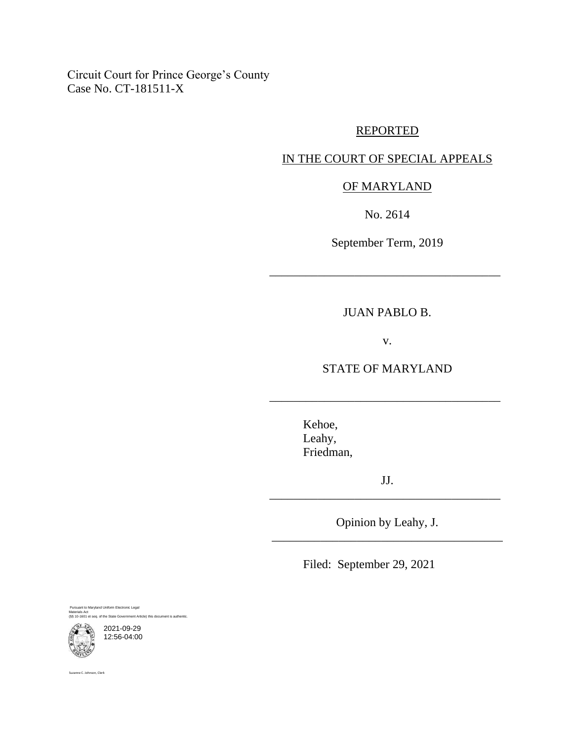Circuit Court for Prince George's County Case No. CT-181511-X

### REPORTED

# IN THE COURT OF SPECIAL APPEALS

# OF MARYLAND

No. 2614

September Term, 2019

\_\_\_\_\_\_\_\_\_\_\_\_\_\_\_\_\_\_\_\_\_\_\_\_\_\_\_\_\_\_\_\_\_\_\_\_\_\_

#### JUAN PABLO B.

v.

STATE OF MARYLAND

\_\_\_\_\_\_\_\_\_\_\_\_\_\_\_\_\_\_\_\_\_\_\_\_\_\_\_\_\_\_\_\_\_\_\_\_\_\_

Kehoe, Leahy, Friedman,

JJ. \_\_\_\_\_\_\_\_\_\_\_\_\_\_\_\_\_\_\_\_\_\_\_\_\_\_\_\_\_\_\_\_\_\_\_\_\_\_

Opinion by Leahy, J. \_\_\_\_\_\_\_\_\_\_\_\_\_\_\_\_\_\_\_\_\_\_\_\_\_\_\_\_\_\_\_\_\_\_\_\_\_\_

Filed: September 29, 2021

Pursuant to Maryland Uniform Electronic Legal Materials Act (§§ 10-1601 et seq. of the State Government Article) this document is authentic.

2021-09-29 12:56-04:00

Suzanne C. Johnson, Clerk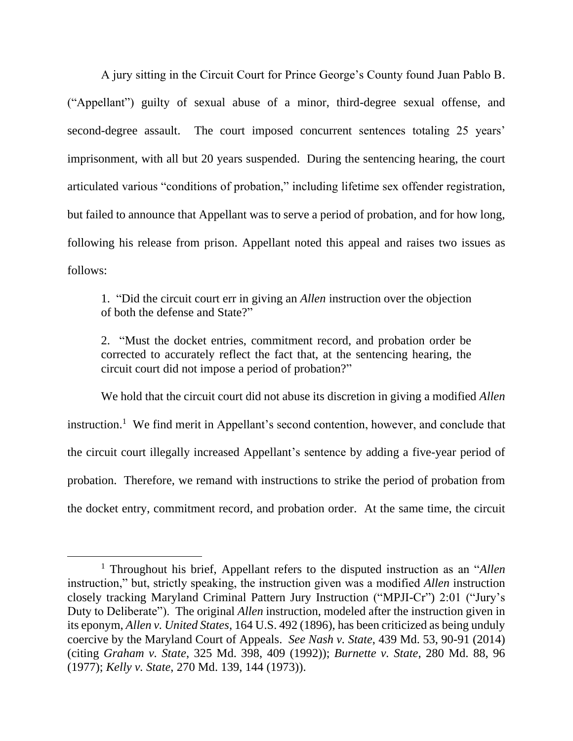A jury sitting in the Circuit Court for Prince George's County found Juan Pablo B. ("Appellant") guilty of sexual abuse of a minor, third-degree sexual offense, and second-degree assault. The court imposed concurrent sentences totaling 25 years' imprisonment, with all but 20 years suspended. During the sentencing hearing, the court articulated various "conditions of probation," including lifetime sex offender registration, but failed to announce that Appellant was to serve a period of probation, and for how long, following his release from prison. Appellant noted this appeal and raises two issues as follows:

1. "Did the circuit court err in giving an *Allen* instruction over the objection of both the defense and State?"

2. "Must the docket entries, commitment record, and probation order be corrected to accurately reflect the fact that, at the sentencing hearing, the circuit court did not impose a period of probation?"

We hold that the circuit court did not abuse its discretion in giving a modified *Allen* instruction.<sup>1</sup> We find merit in Appellant's second contention, however, and conclude that the circuit court illegally increased Appellant's sentence by adding a five-year period of probation. Therefore, we remand with instructions to strike the period of probation from the docket entry, commitment record, and probation order. At the same time, the circuit

<sup>1</sup> Throughout his brief, Appellant refers to the disputed instruction as an "*Allen* instruction," but, strictly speaking, the instruction given was a modified *Allen* instruction closely tracking Maryland Criminal Pattern Jury Instruction ("MPJI-Cr") 2:01 ("Jury's Duty to Deliberate"). The original *Allen* instruction, modeled after the instruction given in its eponym, *Allen v. United States*, 164 U.S. 492 (1896), has been criticized as being unduly coercive by the Maryland Court of Appeals. *See Nash v. State*, 439 Md. 53, 90-91 (2014) (citing *Graham v. State*, 325 Md. 398, 409 (1992)); *Burnette v. State*, 280 Md. 88, 96 (1977); *Kelly v. State*, 270 Md. 139, 144 (1973)).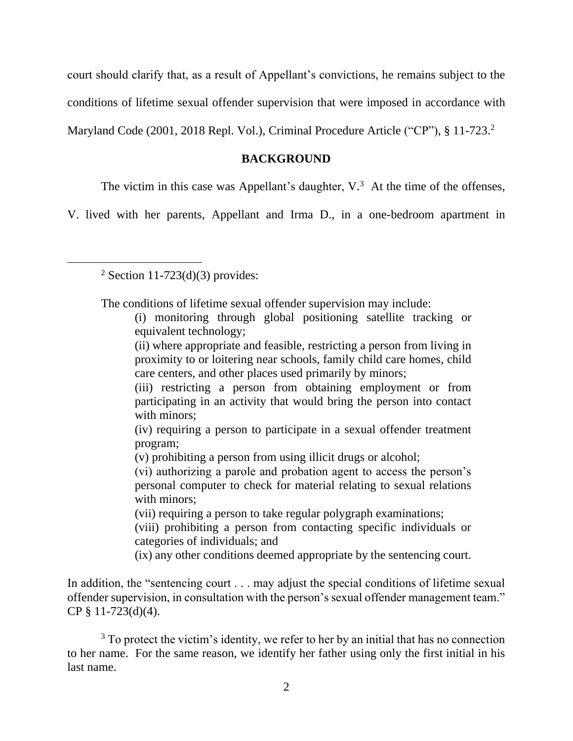court should clarify that, as a result of Appellant's convictions, he remains subject to the conditions of lifetime sexual offender supervision that were imposed in accordance with Maryland Code (2001, 2018 Repl. Vol.), Criminal Procedure Article ("CP"), § 11-723.<sup>2</sup>

### **BACKGROUND**

The victim in this case was Appellant's daughter,  $V<sup>3</sup>$ . At the time of the offenses,

V. lived with her parents, Appellant and Irma D., in a one-bedroom apartment in

 $2$  Section 11-723(d)(3) provides:

The conditions of lifetime sexual offender supervision may include:

(vii) requiring a person to take regular polygraph examinations;

(viii) prohibiting a person from contacting specific individuals or categories of individuals; and

(ix) any other conditions deemed appropriate by the sentencing court.

In addition, the "sentencing court . . . may adjust the special conditions of lifetime sexual offender supervision, in consultation with the person's sexual offender management team." CP § 11-723(d)(4).

<sup>3</sup> To protect the victim's identity, we refer to her by an initial that has no connection to her name. For the same reason, we identify her father using only the first initial in his last name.

<sup>(</sup>i) monitoring through global positioning satellite tracking or equivalent technology;

<sup>(</sup>ii) where appropriate and feasible, restricting a person from living in proximity to or loitering near schools, family child care homes, child care centers, and other places used primarily by minors;

<sup>(</sup>iii) restricting a person from obtaining employment or from participating in an activity that would bring the person into contact with minors;

<sup>(</sup>iv) requiring a person to participate in a sexual offender treatment program;

<sup>(</sup>v) prohibiting a person from using illicit drugs or alcohol;

<sup>(</sup>vi) authorizing a parole and probation agent to access the person's personal computer to check for material relating to sexual relations with minors;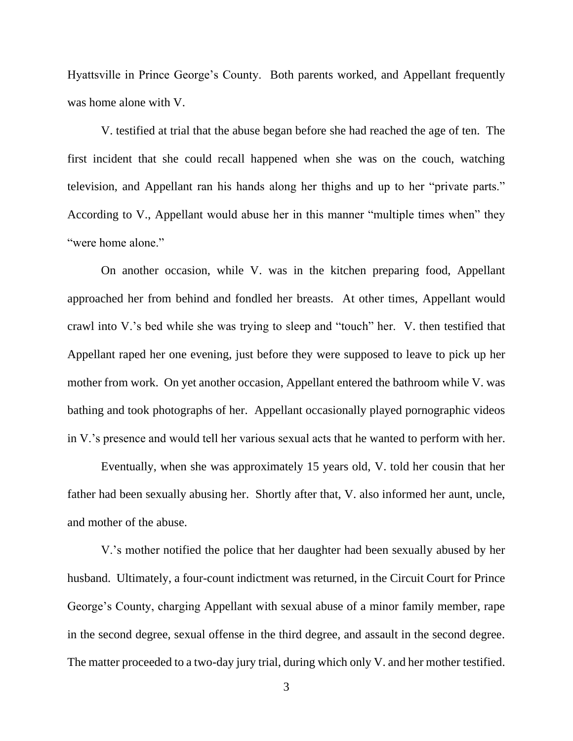Hyattsville in Prince George's County. Both parents worked, and Appellant frequently was home alone with V.

V. testified at trial that the abuse began before she had reached the age of ten. The first incident that she could recall happened when she was on the couch, watching television, and Appellant ran his hands along her thighs and up to her "private parts." According to V., Appellant would abuse her in this manner "multiple times when" they "were home alone."

On another occasion, while V. was in the kitchen preparing food, Appellant approached her from behind and fondled her breasts. At other times, Appellant would crawl into V.'s bed while she was trying to sleep and "touch" her. V. then testified that Appellant raped her one evening, just before they were supposed to leave to pick up her mother from work. On yet another occasion, Appellant entered the bathroom while V. was bathing and took photographs of her. Appellant occasionally played pornographic videos in V.'s presence and would tell her various sexual acts that he wanted to perform with her.

Eventually, when she was approximately 15 years old, V. told her cousin that her father had been sexually abusing her. Shortly after that, V. also informed her aunt, uncle, and mother of the abuse.

V.'s mother notified the police that her daughter had been sexually abused by her husband. Ultimately, a four-count indictment was returned, in the Circuit Court for Prince George's County, charging Appellant with sexual abuse of a minor family member, rape in the second degree, sexual offense in the third degree, and assault in the second degree. The matter proceeded to a two-day jury trial, during which only V. and her mother testified.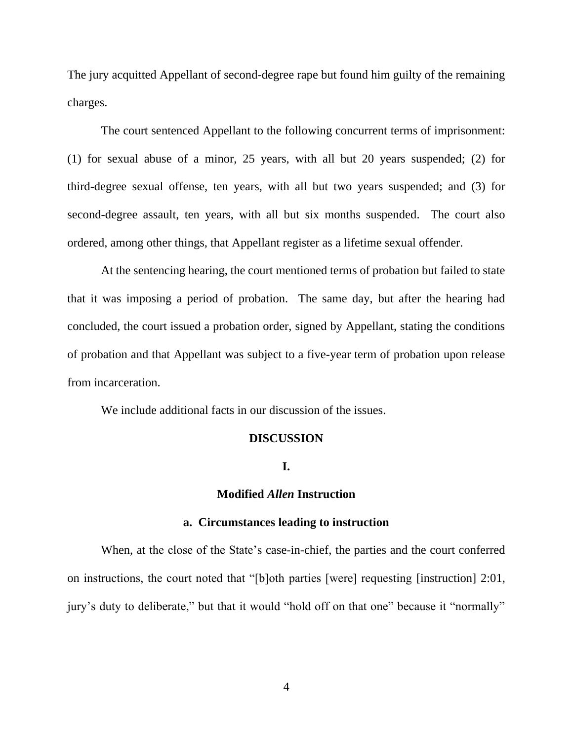The jury acquitted Appellant of second-degree rape but found him guilty of the remaining charges.

The court sentenced Appellant to the following concurrent terms of imprisonment: (1) for sexual abuse of a minor, 25 years, with all but 20 years suspended; (2) for third-degree sexual offense, ten years, with all but two years suspended; and (3) for second-degree assault, ten years, with all but six months suspended. The court also ordered, among other things, that Appellant register as a lifetime sexual offender.

At the sentencing hearing, the court mentioned terms of probation but failed to state that it was imposing a period of probation. The same day, but after the hearing had concluded, the court issued a probation order, signed by Appellant, stating the conditions of probation and that Appellant was subject to a five-year term of probation upon release from incarceration.

We include additional facts in our discussion of the issues.

#### **DISCUSSION**

### **I.**

### **Modified** *Allen* **Instruction**

### **a. Circumstances leading to instruction**

When, at the close of the State's case-in-chief, the parties and the court conferred on instructions, the court noted that "[b]oth parties [were] requesting [instruction] 2:01, jury's duty to deliberate," but that it would "hold off on that one" because it "normally"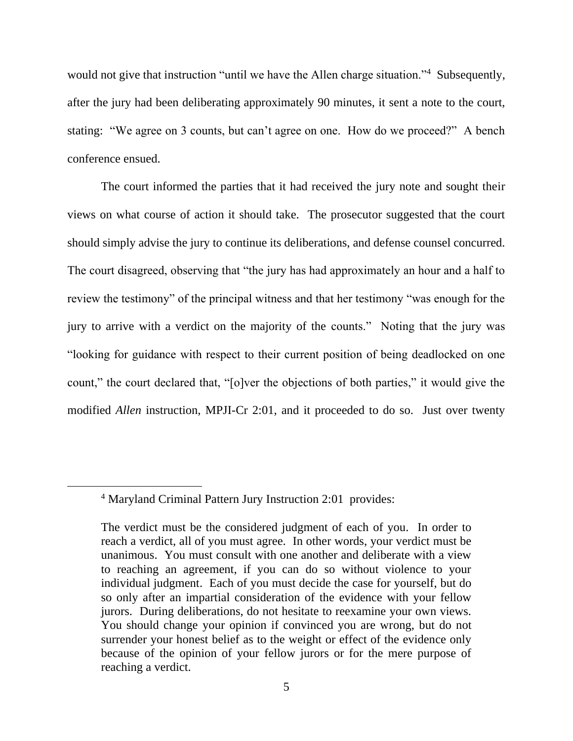would not give that instruction "until we have the Allen charge situation."<sup>4</sup> Subsequently, after the jury had been deliberating approximately 90 minutes, it sent a note to the court, stating: "We agree on 3 counts, but can't agree on one. How do we proceed?" A bench conference ensued.

The court informed the parties that it had received the jury note and sought their views on what course of action it should take. The prosecutor suggested that the court should simply advise the jury to continue its deliberations, and defense counsel concurred. The court disagreed, observing that "the jury has had approximately an hour and a half to review the testimony" of the principal witness and that her testimony "was enough for the jury to arrive with a verdict on the majority of the counts." Noting that the jury was "looking for guidance with respect to their current position of being deadlocked on one count," the court declared that, "[o]ver the objections of both parties," it would give the modified *Allen* instruction, MPJI-Cr 2:01, and it proceeded to do so. Just over twenty

<sup>4</sup> Maryland Criminal Pattern Jury Instruction 2:01 provides:

The verdict must be the considered judgment of each of you. In order to reach a verdict, all of you must agree. In other words, your verdict must be unanimous. You must consult with one another and deliberate with a view to reaching an agreement, if you can do so without violence to your individual judgment. Each of you must decide the case for yourself, but do so only after an impartial consideration of the evidence with your fellow jurors. During deliberations, do not hesitate to reexamine your own views. You should change your opinion if convinced you are wrong, but do not surrender your honest belief as to the weight or effect of the evidence only because of the opinion of your fellow jurors or for the mere purpose of reaching a verdict.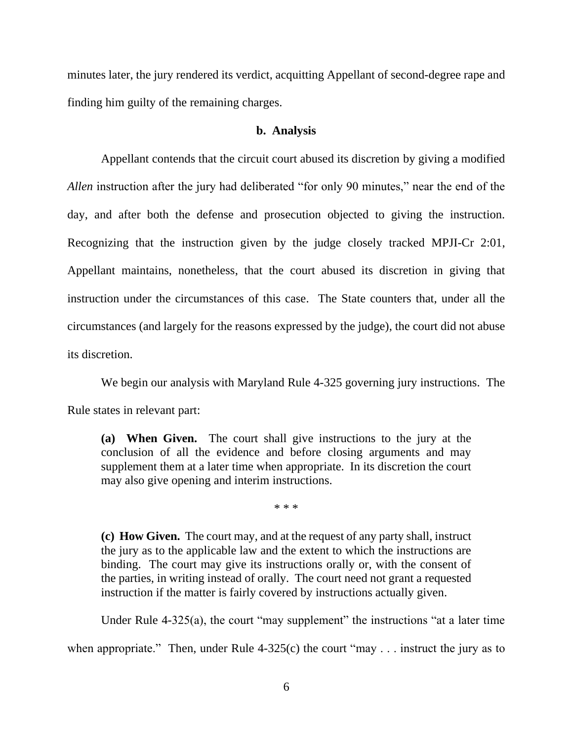minutes later, the jury rendered its verdict, acquitting Appellant of second-degree rape and finding him guilty of the remaining charges.

### **b. Analysis**

Appellant contends that the circuit court abused its discretion by giving a modified *Allen* instruction after the jury had deliberated "for only 90 minutes," near the end of the day, and after both the defense and prosecution objected to giving the instruction. Recognizing that the instruction given by the judge closely tracked MPJI-Cr 2:01, Appellant maintains, nonetheless, that the court abused its discretion in giving that instruction under the circumstances of this case. The State counters that, under all the circumstances (and largely for the reasons expressed by the judge), the court did not abuse its discretion.

We begin our analysis with Maryland Rule 4-325 governing jury instructions. The

Rule states in relevant part:

**(a) When Given.** The court shall give instructions to the jury at the conclusion of all the evidence and before closing arguments and may supplement them at a later time when appropriate. In its discretion the court may also give opening and interim instructions.

\* \* \*

**(c) How Given.** The court may, and at the request of any party shall, instruct the jury as to the applicable law and the extent to which the instructions are binding. The court may give its instructions orally or, with the consent of the parties, in writing instead of orally. The court need not grant a requested instruction if the matter is fairly covered by instructions actually given.

Under Rule 4-325(a), the court "may supplement" the instructions "at a later time

when appropriate." Then, under Rule  $4-325(c)$  the court "may . . . instruct the jury as to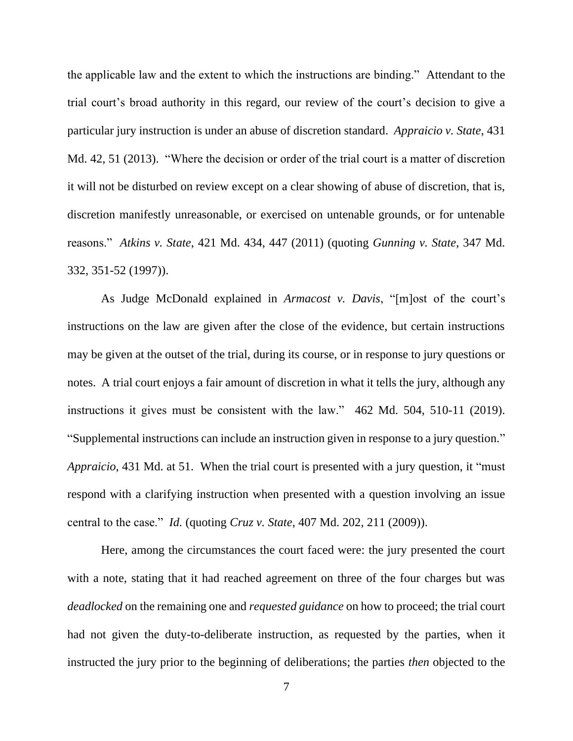the applicable law and the extent to which the instructions are binding." Attendant to the trial court's broad authority in this regard, our review of the court's decision to give a particular jury instruction is under an abuse of discretion standard. *Appraicio v. State*, 431 Md. 42, 51 (2013). "Where the decision or order of the trial court is a matter of discretion it will not be disturbed on review except on a clear showing of abuse of discretion, that is, discretion manifestly unreasonable, or exercised on untenable grounds, or for untenable reasons." *Atkins v. State*, 421 Md. 434, 447 (2011) (quoting *Gunning v. State*, 347 Md. 332, 351-52 (1997)).

As Judge McDonald explained in *Armacost v. Davis*, "[m]ost of the court's instructions on the law are given after the close of the evidence, but certain instructions may be given at the outset of the trial, during its course, or in response to jury questions or notes. A trial court enjoys a fair amount of discretion in what it tells the jury, although any instructions it gives must be consistent with the law." 462 Md. 504, 510-11 (2019). "Supplemental instructions can include an instruction given in response to a jury question." *Appraicio*, 431 Md. at 51. When the trial court is presented with a jury question, it "must respond with a clarifying instruction when presented with a question involving an issue central to the case." *Id.* (quoting *Cruz v. State*, 407 Md. 202, 211 (2009)).

Here, among the circumstances the court faced were: the jury presented the court with a note, stating that it had reached agreement on three of the four charges but was *deadlocked* on the remaining one and *requested guidance* on how to proceed; the trial court had not given the duty-to-deliberate instruction, as requested by the parties, when it instructed the jury prior to the beginning of deliberations; the parties *then* objected to the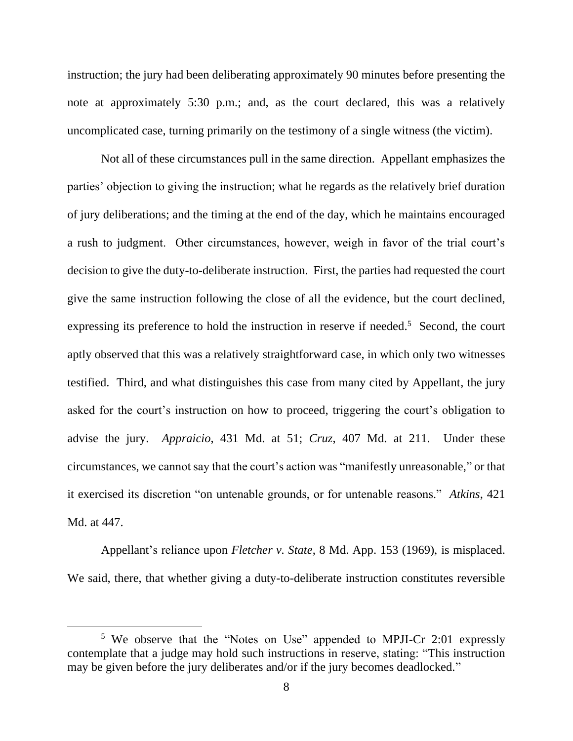instruction; the jury had been deliberating approximately 90 minutes before presenting the note at approximately 5:30 p.m.; and, as the court declared, this was a relatively uncomplicated case, turning primarily on the testimony of a single witness (the victim).

Not all of these circumstances pull in the same direction. Appellant emphasizes the parties' objection to giving the instruction; what he regards as the relatively brief duration of jury deliberations; and the timing at the end of the day, which he maintains encouraged a rush to judgment. Other circumstances, however, weigh in favor of the trial court's decision to give the duty-to-deliberate instruction. First, the parties had requested the court give the same instruction following the close of all the evidence, but the court declined, expressing its preference to hold the instruction in reserve if needed.<sup>5</sup> Second, the court aptly observed that this was a relatively straightforward case, in which only two witnesses testified. Third, and what distinguishes this case from many cited by Appellant, the jury asked for the court's instruction on how to proceed, triggering the court's obligation to advise the jury. *Appraicio*, 431 Md. at 51; *Cruz*, 407 Md. at 211. Under these circumstances, we cannot say that the court's action was "manifestly unreasonable," or that it exercised its discretion "on untenable grounds, or for untenable reasons." *Atkins*, 421 Md. at 447.

Appellant's reliance upon *Fletcher v. State*, 8 Md. App. 153 (1969), is misplaced. We said, there, that whether giving a duty-to-deliberate instruction constitutes reversible

<sup>5</sup> We observe that the "Notes on Use" appended to MPJI-Cr 2:01 expressly contemplate that a judge may hold such instructions in reserve, stating: "This instruction may be given before the jury deliberates and/or if the jury becomes deadlocked."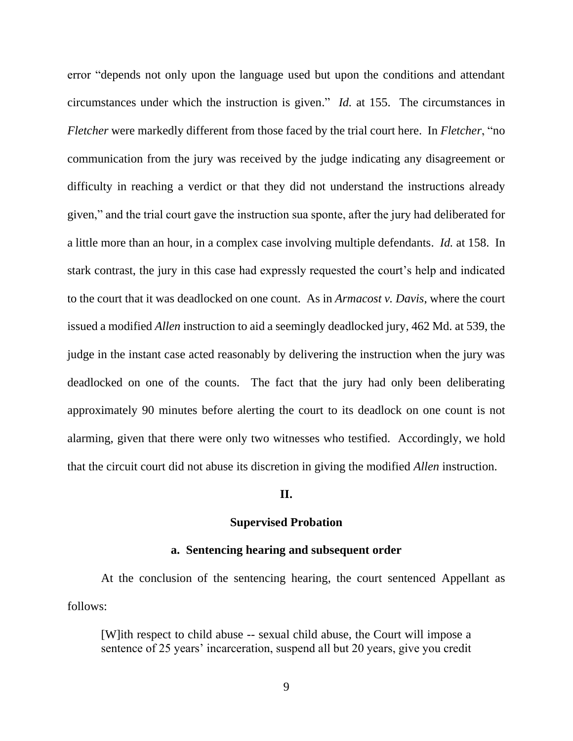error "depends not only upon the language used but upon the conditions and attendant circumstances under which the instruction is given." *Id.* at 155. The circumstances in *Fletcher* were markedly different from those faced by the trial court here. In *Fletcher*, "no communication from the jury was received by the judge indicating any disagreement or difficulty in reaching a verdict or that they did not understand the instructions already given," and the trial court gave the instruction sua sponte, after the jury had deliberated for a little more than an hour, in a complex case involving multiple defendants. *Id.* at 158. In stark contrast, the jury in this case had expressly requested the court's help and indicated to the court that it was deadlocked on one count. As in *Armacost v. Davis*, where the court issued a modified *Allen* instruction to aid a seemingly deadlocked jury, 462 Md. at 539, the judge in the instant case acted reasonably by delivering the instruction when the jury was deadlocked on one of the counts. The fact that the jury had only been deliberating approximately 90 minutes before alerting the court to its deadlock on one count is not alarming, given that there were only two witnesses who testified. Accordingly, we hold that the circuit court did not abuse its discretion in giving the modified *Allen* instruction.

### **II.**

### **Supervised Probation**

### **a. Sentencing hearing and subsequent order**

At the conclusion of the sentencing hearing, the court sentenced Appellant as follows:

[W]ith respect to child abuse -- sexual child abuse, the Court will impose a sentence of 25 years' incarceration, suspend all but 20 years, give you credit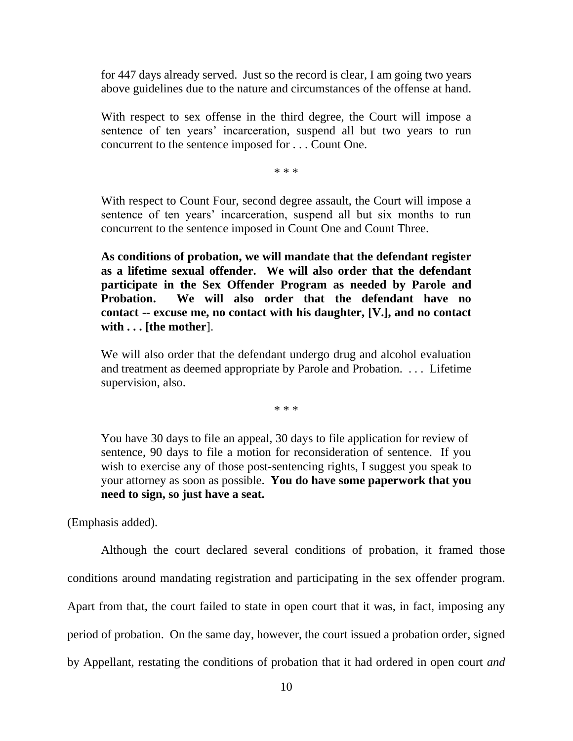for 447 days already served. Just so the record is clear, I am going two years above guidelines due to the nature and circumstances of the offense at hand.

With respect to sex offense in the third degree, the Court will impose a sentence of ten years' incarceration, suspend all but two years to run concurrent to the sentence imposed for . . . Count One.

\* \* \*

With respect to Count Four, second degree assault, the Court will impose a sentence of ten years' incarceration, suspend all but six months to run concurrent to the sentence imposed in Count One and Count Three.

**As conditions of probation, we will mandate that the defendant register as a lifetime sexual offender. We will also order that the defendant participate in the Sex Offender Program as needed by Parole and Probation. We will also order that the defendant have no contact -- excuse me, no contact with his daughter, [V.], and no contact with . . . [the mother**].

We will also order that the defendant undergo drug and alcohol evaluation and treatment as deemed appropriate by Parole and Probation. . . . Lifetime supervision, also.

\* \* \*

You have 30 days to file an appeal, 30 days to file application for review of sentence, 90 days to file a motion for reconsideration of sentence. If you wish to exercise any of those post-sentencing rights, I suggest you speak to your attorney as soon as possible. **You do have some paperwork that you need to sign, so just have a seat.**

(Emphasis added).

Although the court declared several conditions of probation, it framed those conditions around mandating registration and participating in the sex offender program. Apart from that, the court failed to state in open court that it was, in fact, imposing any period of probation. On the same day, however, the court issued a probation order, signed by Appellant, restating the conditions of probation that it had ordered in open court *and*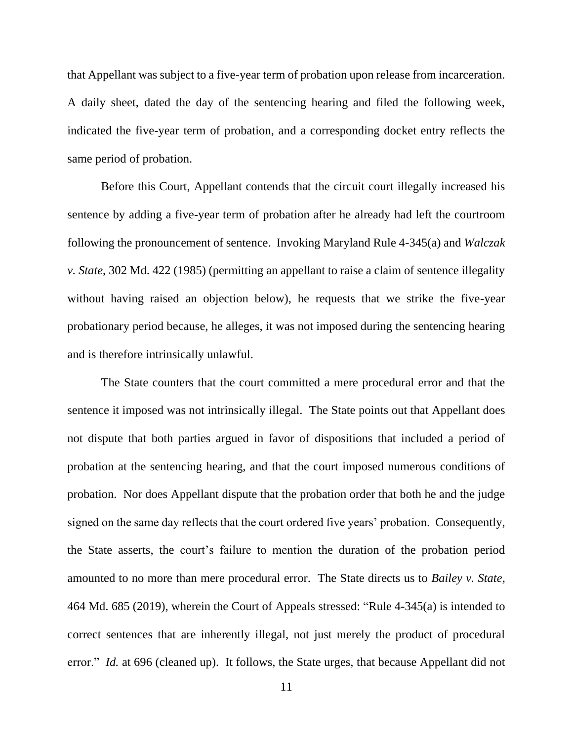that Appellant was subject to a five-year term of probation upon release from incarceration. A daily sheet, dated the day of the sentencing hearing and filed the following week, indicated the five-year term of probation, and a corresponding docket entry reflects the same period of probation.

Before this Court, Appellant contends that the circuit court illegally increased his sentence by adding a five-year term of probation after he already had left the courtroom following the pronouncement of sentence. Invoking Maryland Rule 4-345(a) and *Walczak v. State*, 302 Md. 422 (1985) (permitting an appellant to raise a claim of sentence illegality without having raised an objection below), he requests that we strike the five-year probationary period because, he alleges, it was not imposed during the sentencing hearing and is therefore intrinsically unlawful.

The State counters that the court committed a mere procedural error and that the sentence it imposed was not intrinsically illegal. The State points out that Appellant does not dispute that both parties argued in favor of dispositions that included a period of probation at the sentencing hearing, and that the court imposed numerous conditions of probation. Nor does Appellant dispute that the probation order that both he and the judge signed on the same day reflects that the court ordered five years' probation. Consequently, the State asserts, the court's failure to mention the duration of the probation period amounted to no more than mere procedural error. The State directs us to *Bailey v. State*, 464 Md. 685 (2019), wherein the Court of Appeals stressed: "Rule 4-345(a) is intended to correct sentences that are inherently illegal, not just merely the product of procedural error." *Id.* at 696 (cleaned up). It follows, the State urges, that because Appellant did not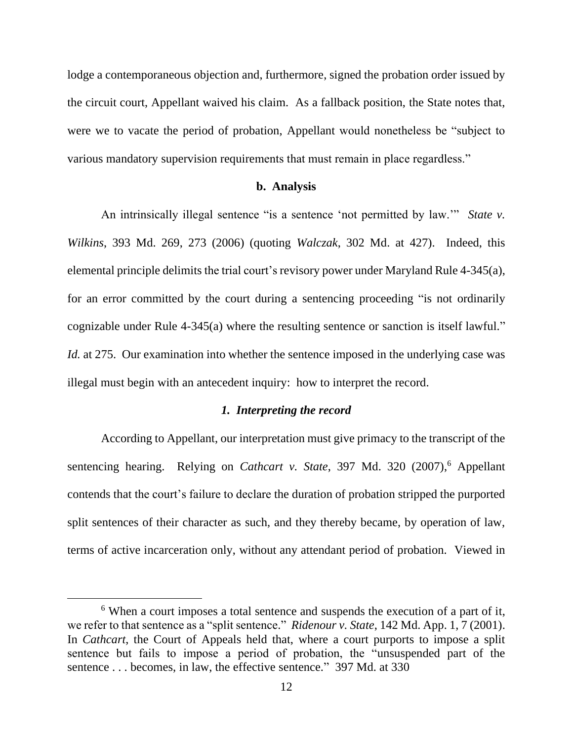lodge a contemporaneous objection and, furthermore, signed the probation order issued by the circuit court, Appellant waived his claim. As a fallback position, the State notes that, were we to vacate the period of probation, Appellant would nonetheless be "subject to various mandatory supervision requirements that must remain in place regardless."

#### **b. Analysis**

An intrinsically illegal sentence "is a sentence 'not permitted by law.'" *State v. Wilkins*, 393 Md. 269, 273 (2006) (quoting *Walczak*, 302 Md. at 427). Indeed, this elemental principle delimits the trial court's revisory power under Maryland Rule 4-345(a), for an error committed by the court during a sentencing proceeding "is not ordinarily cognizable under Rule 4-345(a) where the resulting sentence or sanction is itself lawful." *Id.* at 275. Our examination into whether the sentence imposed in the underlying case was illegal must begin with an antecedent inquiry: how to interpret the record.

#### *1. Interpreting the record*

According to Appellant, our interpretation must give primacy to the transcript of the sentencing hearing. Relying on *Cathcart v. State*, 397 Md. 320 (2007), <sup>6</sup> Appellant contends that the court's failure to declare the duration of probation stripped the purported split sentences of their character as such, and they thereby became, by operation of law, terms of active incarceration only, without any attendant period of probation. Viewed in

<sup>&</sup>lt;sup>6</sup> When a court imposes a total sentence and suspends the execution of a part of it, we refer to that sentence as a "split sentence." *Ridenour v. State*, 142 Md. App. 1, 7 (2001). In *Cathcart*, the Court of Appeals held that, where a court purports to impose a split sentence but fails to impose a period of probation, the "unsuspended part of the sentence . . . becomes, in law, the effective sentence." 397 Md. at 330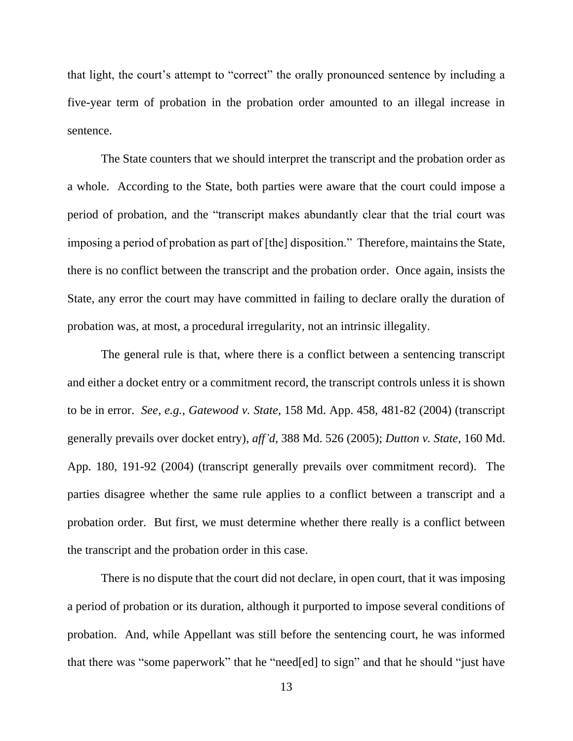that light, the court's attempt to "correct" the orally pronounced sentence by including a five-year term of probation in the probation order amounted to an illegal increase in sentence.

The State counters that we should interpret the transcript and the probation order as a whole. According to the State, both parties were aware that the court could impose a period of probation, and the "transcript makes abundantly clear that the trial court was imposing a period of probation as part of [the] disposition." Therefore, maintains the State, there is no conflict between the transcript and the probation order. Once again, insists the State, any error the court may have committed in failing to declare orally the duration of probation was, at most, a procedural irregularity, not an intrinsic illegality.

The general rule is that, where there is a conflict between a sentencing transcript and either a docket entry or a commitment record, the transcript controls unless it is shown to be in error. *See, e.g.*, *Gatewood v. State*, 158 Md. App. 458, 481-82 (2004) (transcript generally prevails over docket entry), *aff'd*, 388 Md. 526 (2005); *Dutton v. State*, 160 Md. App. 180, 191-92 (2004) (transcript generally prevails over commitment record). The parties disagree whether the same rule applies to a conflict between a transcript and a probation order. But first, we must determine whether there really is a conflict between the transcript and the probation order in this case.

There is no dispute that the court did not declare, in open court, that it was imposing a period of probation or its duration, although it purported to impose several conditions of probation. And, while Appellant was still before the sentencing court, he was informed that there was "some paperwork" that he "need[ed] to sign" and that he should "just have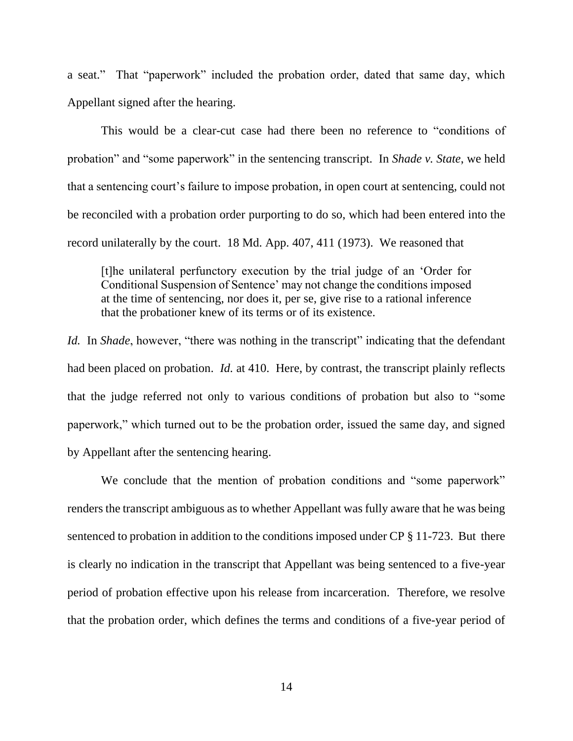a seat." That "paperwork" included the probation order, dated that same day, which Appellant signed after the hearing.

This would be a clear-cut case had there been no reference to "conditions of probation" and "some paperwork" in the sentencing transcript. In *Shade v. State*, we held that a sentencing court's failure to impose probation, in open court at sentencing, could not be reconciled with a probation order purporting to do so, which had been entered into the record unilaterally by the court. 18 Md. App. 407, 411 (1973). We reasoned that

[t]he unilateral perfunctory execution by the trial judge of an 'Order for Conditional Suspension of Sentence' may not change the conditions imposed at the time of sentencing, nor does it, per se, give rise to a rational inference that the probationer knew of its terms or of its existence.

*Id.* In *Shade*, however, "there was nothing in the transcript" indicating that the defendant had been placed on probation. *Id.* at 410. Here, by contrast, the transcript plainly reflects that the judge referred not only to various conditions of probation but also to "some paperwork," which turned out to be the probation order, issued the same day, and signed by Appellant after the sentencing hearing.

We conclude that the mention of probation conditions and "some paperwork" renders the transcript ambiguous as to whether Appellant was fully aware that he was being sentenced to probation in addition to the conditions imposed under CP § 11-723. But there is clearly no indication in the transcript that Appellant was being sentenced to a five-year period of probation effective upon his release from incarceration. Therefore, we resolve that the probation order, which defines the terms and conditions of a five-year period of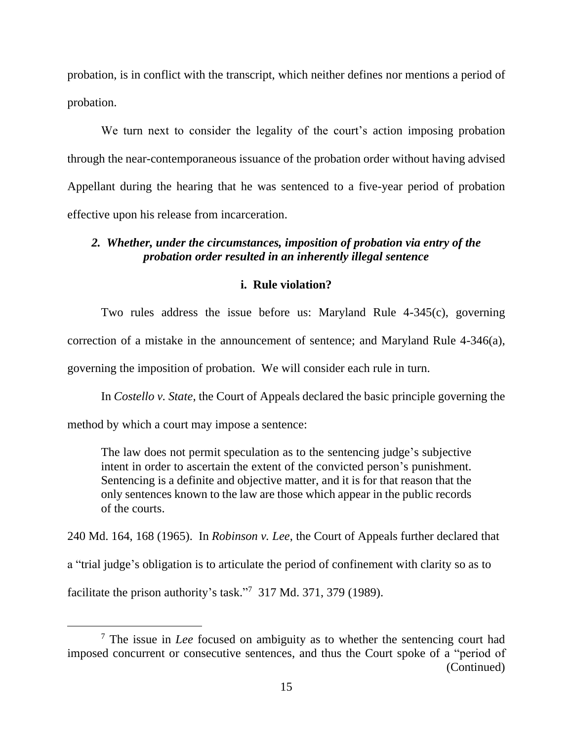probation, is in conflict with the transcript, which neither defines nor mentions a period of probation.

We turn next to consider the legality of the court's action imposing probation through the near-contemporaneous issuance of the probation order without having advised Appellant during the hearing that he was sentenced to a five-year period of probation effective upon his release from incarceration.

### *2. Whether, under the circumstances, imposition of probation via entry of the probation order resulted in an inherently illegal sentence*

### **i. Rule violation?**

Two rules address the issue before us: Maryland Rule 4-345(c), governing correction of a mistake in the announcement of sentence; and Maryland Rule 4-346(a), governing the imposition of probation. We will consider each rule in turn.

In *Costello v. State*, the Court of Appeals declared the basic principle governing the

method by which a court may impose a sentence:

The law does not permit speculation as to the sentencing judge's subjective intent in order to ascertain the extent of the convicted person's punishment. Sentencing is a definite and objective matter, and it is for that reason that the only sentences known to the law are those which appear in the public records of the courts.

240 Md. 164, 168 (1965). In *Robinson v. Lee*, the Court of Appeals further declared that a "trial judge's obligation is to articulate the period of confinement with clarity so as to

facilitate the prison authority's task."<sup>7</sup> 317 Md. 371, 379 (1989).

<sup>7</sup> The issue in *Lee* focused on ambiguity as to whether the sentencing court had imposed concurrent or consecutive sentences, and thus the Court spoke of a "period of (Continued)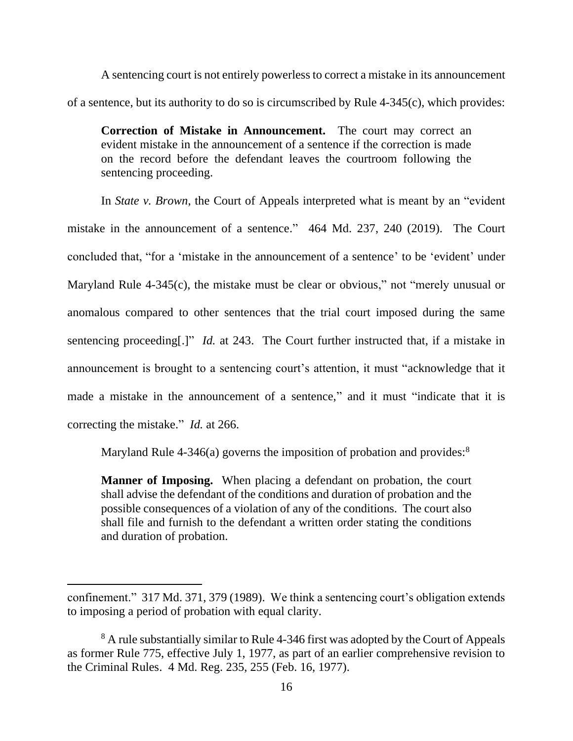A sentencing court is not entirely powerless to correct a mistake in its announcement of a sentence, but its authority to do so is circumscribed by Rule 4-345(c), which provides:

**Correction of Mistake in Announcement.** The court may correct an evident mistake in the announcement of a sentence if the correction is made on the record before the defendant leaves the courtroom following the sentencing proceeding.

In *State v. Brown*, the Court of Appeals interpreted what is meant by an "evident mistake in the announcement of a sentence." 464 Md. 237, 240 (2019). The Court concluded that, "for a 'mistake in the announcement of a sentence' to be 'evident' under Maryland Rule 4-345(c), the mistake must be clear or obvious," not "merely unusual or anomalous compared to other sentences that the trial court imposed during the same sentencing proceeding[.]" *Id.* at 243. The Court further instructed that, if a mistake in announcement is brought to a sentencing court's attention, it must "acknowledge that it made a mistake in the announcement of a sentence," and it must "indicate that it is correcting the mistake." *Id.* at 266.

Maryland Rule 4-346(a) governs the imposition of probation and provides:<sup>8</sup>

**Manner of Imposing.** When placing a defendant on probation, the court shall advise the defendant of the conditions and duration of probation and the possible consequences of a violation of any of the conditions. The court also shall file and furnish to the defendant a written order stating the conditions and duration of probation.

confinement." 317 Md. 371, 379 (1989). We think a sentencing court's obligation extends to imposing a period of probation with equal clarity.

<sup>&</sup>lt;sup>8</sup> A rule substantially similar to Rule 4-346 first was adopted by the Court of Appeals as former Rule 775, effective July 1, 1977, as part of an earlier comprehensive revision to the Criminal Rules. 4 Md. Reg. 235, 255 (Feb. 16, 1977).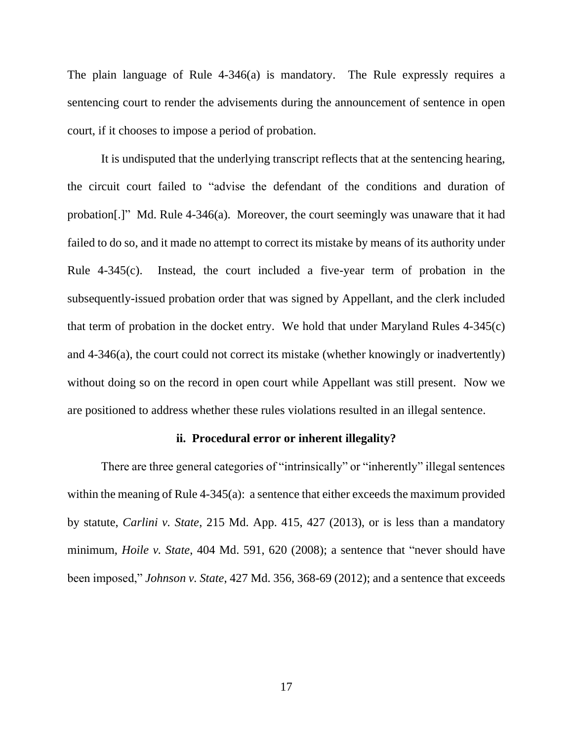The plain language of Rule 4-346(a) is mandatory. The Rule expressly requires a sentencing court to render the advisements during the announcement of sentence in open court, if it chooses to impose a period of probation.

It is undisputed that the underlying transcript reflects that at the sentencing hearing, the circuit court failed to "advise the defendant of the conditions and duration of probation[.]" Md. Rule 4-346(a). Moreover, the court seemingly was unaware that it had failed to do so, and it made no attempt to correct its mistake by means of its authority under Rule 4-345(c). Instead, the court included a five-year term of probation in the subsequently-issued probation order that was signed by Appellant, and the clerk included that term of probation in the docket entry. We hold that under Maryland Rules 4-345(c) and 4-346(a), the court could not correct its mistake (whether knowingly or inadvertently) without doing so on the record in open court while Appellant was still present. Now we are positioned to address whether these rules violations resulted in an illegal sentence.

### **ii. Procedural error or inherent illegality?**

There are three general categories of "intrinsically" or "inherently" illegal sentences within the meaning of Rule 4-345(a): a sentence that either exceeds the maximum provided by statute, *Carlini v. State*, 215 Md. App. 415, 427 (2013), or is less than a mandatory minimum, *Hoile v. State*, 404 Md. 591, 620 (2008); a sentence that "never should have been imposed," *Johnson v. State*, 427 Md. 356, 368-69 (2012); and a sentence that exceeds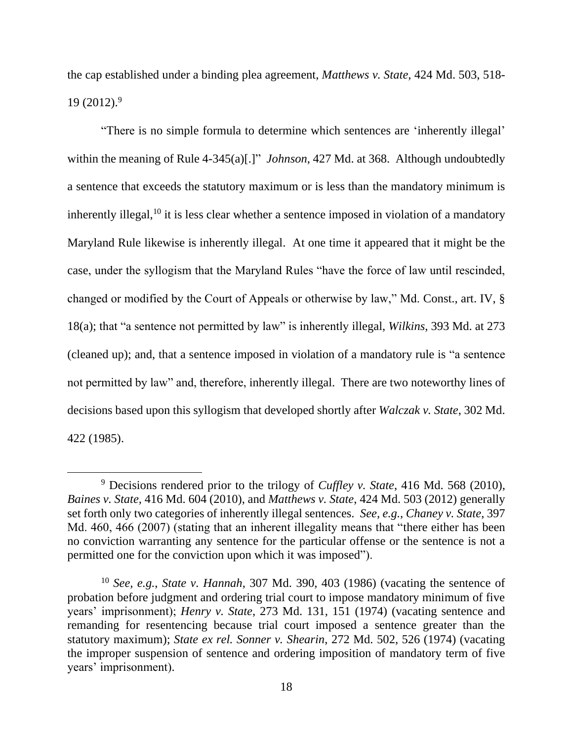the cap established under a binding plea agreement, *Matthews v. State*, 424 Md. 503, 518-  $19(2012).<sup>9</sup>$ 

"There is no simple formula to determine which sentences are 'inherently illegal' within the meaning of Rule 4-345(a)[.]" *Johnson*, 427 Md. at 368. Although undoubtedly a sentence that exceeds the statutory maximum or is less than the mandatory minimum is inherently illegal,  $10$  it is less clear whether a sentence imposed in violation of a mandatory Maryland Rule likewise is inherently illegal. At one time it appeared that it might be the case, under the syllogism that the Maryland Rules "have the force of law until rescinded, changed or modified by the Court of Appeals or otherwise by law," Md. Const., art. IV, § 18(a); that "a sentence not permitted by law" is inherently illegal, *Wilkins*, 393 Md. at 273 (cleaned up); and, that a sentence imposed in violation of a mandatory rule is "a sentence not permitted by law" and, therefore, inherently illegal. There are two noteworthy lines of decisions based upon this syllogism that developed shortly after *Walczak v. State*, 302 Md. 422 (1985).

<sup>9</sup> Decisions rendered prior to the trilogy of *Cuffley v. State*, 416 Md. 568 (2010), *Baines v. State*, 416 Md. 604 (2010), and *Matthews v. State*, 424 Md. 503 (2012) generally set forth only two categories of inherently illegal sentences. *See, e.g.*, *Chaney v. State*, 397 Md. 460, 466 (2007) (stating that an inherent illegality means that "there either has been no conviction warranting any sentence for the particular offense or the sentence is not a permitted one for the conviction upon which it was imposed").

<sup>10</sup> *See, e.g.*, *State v. Hannah*, 307 Md. 390, 403 (1986) (vacating the sentence of probation before judgment and ordering trial court to impose mandatory minimum of five years' imprisonment); *Henry v. State*, 273 Md. 131, 151 (1974) (vacating sentence and remanding for resentencing because trial court imposed a sentence greater than the statutory maximum); *State ex rel. Sonner v. Shearin*, 272 Md. 502, 526 (1974) (vacating the improper suspension of sentence and ordering imposition of mandatory term of five years' imprisonment).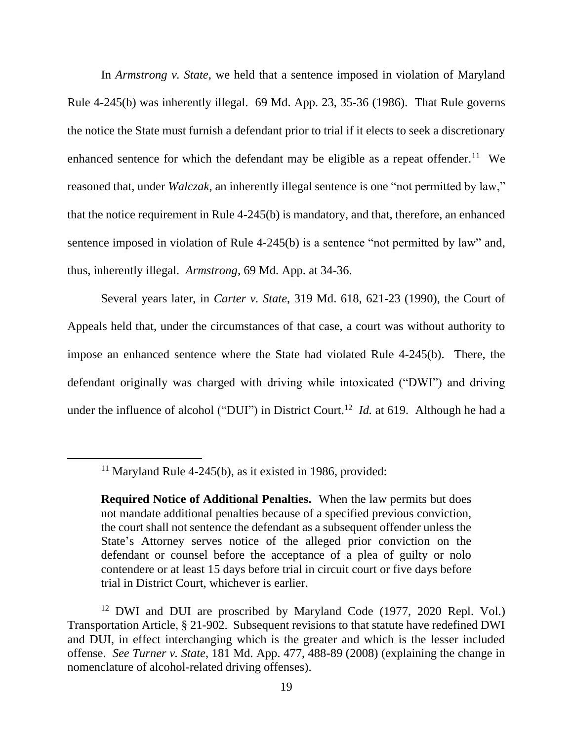In *Armstrong v. State*, we held that a sentence imposed in violation of Maryland Rule 4-245(b) was inherently illegal. 69 Md. App. 23, 35-36 (1986). That Rule governs the notice the State must furnish a defendant prior to trial if it elects to seek a discretionary enhanced sentence for which the defendant may be eligible as a repeat offender.<sup>11</sup> We reasoned that, under *Walczak*, an inherently illegal sentence is one "not permitted by law," that the notice requirement in Rule 4-245(b) is mandatory, and that, therefore, an enhanced sentence imposed in violation of Rule 4-245(b) is a sentence "not permitted by law" and, thus, inherently illegal. *Armstrong*, 69 Md. App. at 34-36.

Several years later, in *Carter v. State*, 319 Md. 618, 621-23 (1990), the Court of Appeals held that, under the circumstances of that case, a court was without authority to impose an enhanced sentence where the State had violated Rule 4-245(b). There, the defendant originally was charged with driving while intoxicated ("DWI") and driving under the influence of alcohol ("DUI") in District Court. <sup>12</sup> *Id.* at 619. Although he had a

 $11$  Maryland Rule 4-245(b), as it existed in 1986, provided:

**Required Notice of Additional Penalties.** When the law permits but does not mandate additional penalties because of a specified previous conviction, the court shall not sentence the defendant as a subsequent offender unless the State's Attorney serves notice of the alleged prior conviction on the defendant or counsel before the acceptance of a plea of guilty or nolo contendere or at least 15 days before trial in circuit court or five days before trial in District Court, whichever is earlier.

<sup>&</sup>lt;sup>12</sup> DWI and DUI are proscribed by Maryland Code (1977, 2020 Repl. Vol.) Transportation Article, § 21-902. Subsequent revisions to that statute have redefined DWI and DUI, in effect interchanging which is the greater and which is the lesser included offense. *See Turner v. State*, 181 Md. App. 477, 488-89 (2008) (explaining the change in nomenclature of alcohol-related driving offenses).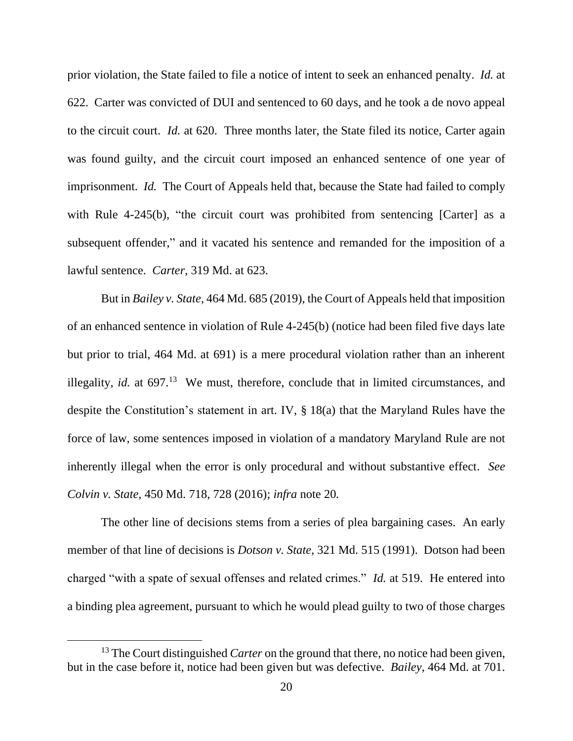prior violation, the State failed to file a notice of intent to seek an enhanced penalty. *Id.* at 622. Carter was convicted of DUI and sentenced to 60 days, and he took a de novo appeal to the circuit court. *Id.* at 620. Three months later, the State filed its notice, Carter again was found guilty, and the circuit court imposed an enhanced sentence of one year of imprisonment. *Id.* The Court of Appeals held that, because the State had failed to comply with Rule 4-245(b), "the circuit court was prohibited from sentencing [Carter] as a subsequent offender," and it vacated his sentence and remanded for the imposition of a lawful sentence. *Carter*, 319 Md. at 623.

But in *Bailey v. State*, 464 Md. 685 (2019), the Court of Appeals held that imposition of an enhanced sentence in violation of Rule 4-245(b) (notice had been filed five days late but prior to trial, 464 Md. at 691) is a mere procedural violation rather than an inherent illegality, *id.* at  $697<sup>13</sup>$  We must, therefore, conclude that in limited circumstances, and despite the Constitution's statement in art. IV, § 18(a) that the Maryland Rules have the force of law, some sentences imposed in violation of a mandatory Maryland Rule are not inherently illegal when the error is only procedural and without substantive effect. *See Colvin v. State*, 450 Md. 718, 728 (2016); *infra* note 20*.*

The other line of decisions stems from a series of plea bargaining cases. An early member of that line of decisions is *Dotson v. State*, 321 Md. 515 (1991). Dotson had been charged "with a spate of sexual offenses and related crimes." *Id.* at 519. He entered into a binding plea agreement, pursuant to which he would plead guilty to two of those charges

<sup>&</sup>lt;sup>13</sup> The Court distinguished *Carter* on the ground that there, no notice had been given, but in the case before it, notice had been given but was defective. *Bailey*, 464 Md. at 701.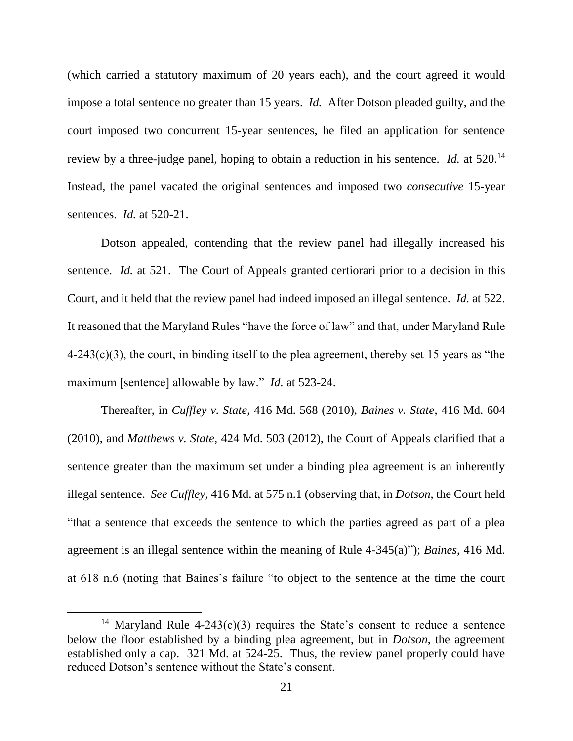(which carried a statutory maximum of 20 years each), and the court agreed it would impose a total sentence no greater than 15 years. *Id.* After Dotson pleaded guilty, and the court imposed two concurrent 15-year sentences, he filed an application for sentence review by a three-judge panel, hoping to obtain a reduction in his sentence. *Id.* at 520.<sup>14</sup> Instead, the panel vacated the original sentences and imposed two *consecutive* 15-year sentences. *Id.* at 520-21.

Dotson appealed, contending that the review panel had illegally increased his sentence. *Id.* at 521. The Court of Appeals granted certiorari prior to a decision in this Court, and it held that the review panel had indeed imposed an illegal sentence. *Id.* at 522. It reasoned that the Maryland Rules "have the force of law" and that, under Maryland Rule  $4-243(c)(3)$ , the court, in binding itself to the plea agreement, thereby set 15 years as "the maximum [sentence] allowable by law." *Id.* at 523-24.

Thereafter, in *Cuffley v. State*, 416 Md. 568 (2010), *Baines v. State*, 416 Md. 604 (2010), and *Matthews v. State*, 424 Md. 503 (2012), the Court of Appeals clarified that a sentence greater than the maximum set under a binding plea agreement is an inherently illegal sentence. *See Cuffley*, 416 Md. at 575 n.1 (observing that, in *Dotson*, the Court held "that a sentence that exceeds the sentence to which the parties agreed as part of a plea agreement is an illegal sentence within the meaning of Rule 4-345(a)"); *Baines*, 416 Md. at 618 n.6 (noting that Baines's failure "to object to the sentence at the time the court

<sup>&</sup>lt;sup>14</sup> Maryland Rule 4-243(c)(3) requires the State's consent to reduce a sentence below the floor established by a binding plea agreement, but in *Dotson*, the agreement established only a cap. 321 Md. at 524-25. Thus, the review panel properly could have reduced Dotson's sentence without the State's consent.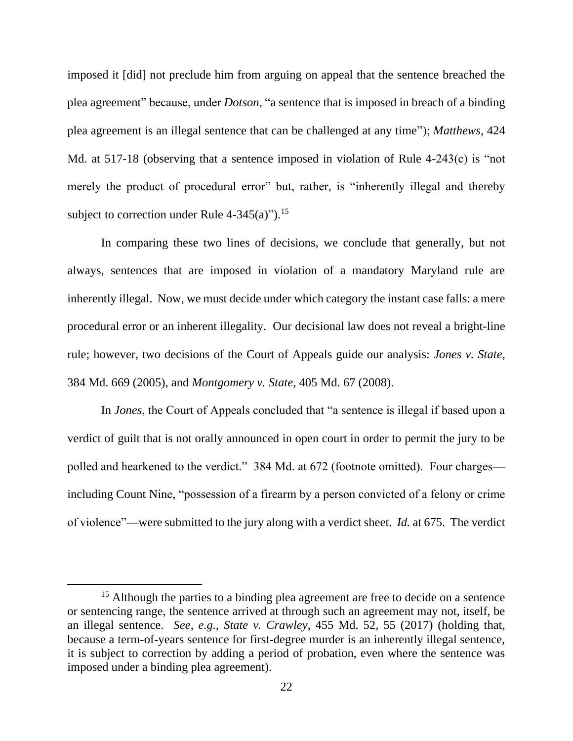imposed it [did] not preclude him from arguing on appeal that the sentence breached the plea agreement" because, under *Dotson*, "a sentence that is imposed in breach of a binding plea agreement is an illegal sentence that can be challenged at any time"); *Matthews*, 424 Md. at 517-18 (observing that a sentence imposed in violation of Rule 4-243(c) is "not merely the product of procedural error" but, rather, is "inherently illegal and thereby subject to correction under Rule  $4-345(a)$ ").<sup>15</sup>

In comparing these two lines of decisions, we conclude that generally, but not always, sentences that are imposed in violation of a mandatory Maryland rule are inherently illegal. Now, we must decide under which category the instant case falls: a mere procedural error or an inherent illegality. Our decisional law does not reveal a bright-line rule; however, two decisions of the Court of Appeals guide our analysis: *Jones v. State*, 384 Md. 669 (2005), and *Montgomery v. State*, 405 Md. 67 (2008).

In *Jones*, the Court of Appeals concluded that "a sentence is illegal if based upon a verdict of guilt that is not orally announced in open court in order to permit the jury to be polled and hearkened to the verdict." 384 Md. at 672 (footnote omitted). Four charges including Count Nine, "possession of a firearm by a person convicted of a felony or crime of violence"—were submitted to the jury along with a verdict sheet. *Id.* at 675. The verdict

<sup>&</sup>lt;sup>15</sup> Although the parties to a binding plea agreement are free to decide on a sentence or sentencing range, the sentence arrived at through such an agreement may not, itself, be an illegal sentence. *See, e.g.*, *State v. Crawley*, 455 Md. 52, 55 (2017) (holding that, because a term-of-years sentence for first-degree murder is an inherently illegal sentence, it is subject to correction by adding a period of probation, even where the sentence was imposed under a binding plea agreement).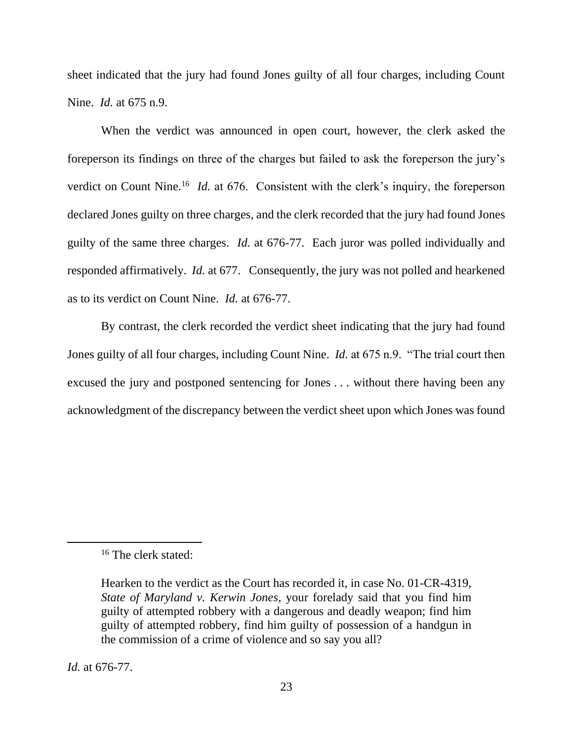sheet indicated that the jury had found Jones guilty of all four charges, including Count Nine. *Id.* at 675 n.9.

When the verdict was announced in open court, however, the clerk asked the foreperson its findings on three of the charges but failed to ask the foreperson the jury's verdict on Count Nine.<sup>16</sup> *Id.* at 676. Consistent with the clerk's inquiry, the foreperson declared Jones guilty on three charges, and the clerk recorded that the jury had found Jones guilty of the same three charges. *Id.* at 676-77. Each juror was polled individually and responded affirmatively. *Id.* at 677. Consequently, the jury was not polled and hearkened as to its verdict on Count Nine. *Id.* at 676-77.

By contrast, the clerk recorded the verdict sheet indicating that the jury had found Jones guilty of all four charges, including Count Nine. *Id.* at 675 n.9. "The trial court then excused the jury and postponed sentencing for Jones . . . without there having been any acknowledgment of the discrepancy between the verdict sheet upon which Jones was found

*Id.* at 676-77.

<sup>16</sup> The clerk stated:

Hearken to the verdict as the Court has recorded it, in case No. 01-CR-4319, *State of Maryland v. Kerwin Jones*, your forelady said that you find him guilty of attempted robbery with a dangerous and deadly weapon; find him guilty of attempted robbery, find him guilty of possession of a handgun in the commission of a crime of violence and so say you all?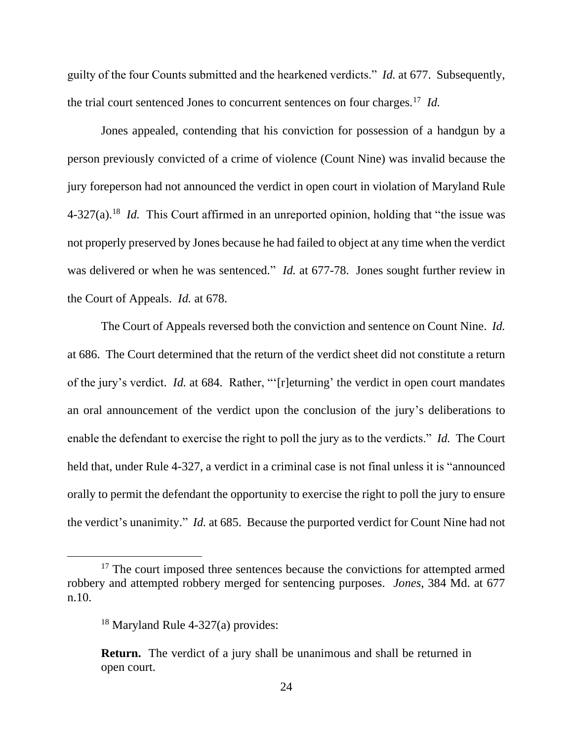guilty of the four Counts submitted and the hearkened verdicts." *Id.* at 677. Subsequently, the trial court sentenced Jones to concurrent sentences on four charges.<sup>17</sup> *Id.*

Jones appealed, contending that his conviction for possession of a handgun by a person previously convicted of a crime of violence (Count Nine) was invalid because the jury foreperson had not announced the verdict in open court in violation of Maryland Rule 4-327(a).<sup>18</sup> *Id.* This Court affirmed in an unreported opinion, holding that "the issue was not properly preserved by Jones because he had failed to object at any time when the verdict was delivered or when he was sentenced." *Id.* at 677-78. Jones sought further review in the Court of Appeals. *Id.* at 678.

The Court of Appeals reversed both the conviction and sentence on Count Nine. *Id.*  at 686. The Court determined that the return of the verdict sheet did not constitute a return of the jury's verdict. *Id.* at 684. Rather, "'[r]eturning' the verdict in open court mandates an oral announcement of the verdict upon the conclusion of the jury's deliberations to enable the defendant to exercise the right to poll the jury as to the verdicts." *Id.* The Court held that, under Rule 4-327, a verdict in a criminal case is not final unless it is "announced orally to permit the defendant the opportunity to exercise the right to poll the jury to ensure the verdict's unanimity." *Id.* at 685. Because the purported verdict for Count Nine had not

<sup>&</sup>lt;sup>17</sup> The court imposed three sentences because the convictions for attempted armed robbery and attempted robbery merged for sentencing purposes. *Jones*, 384 Md. at 677 n.10.

 $18$  Maryland Rule 4-327(a) provides:

**Return.** The verdict of a jury shall be unanimous and shall be returned in open court.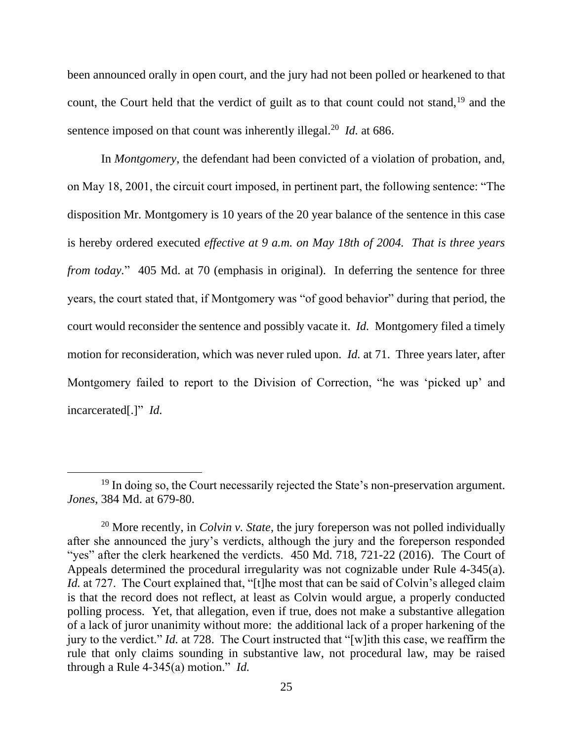been announced orally in open court, and the jury had not been polled or hearkened to that count, the Court held that the verdict of guilt as to that count could not stand.<sup>19</sup> and the sentence imposed on that count was inherently illegal.<sup>20</sup> *Id.* at 686.

In *Montgomery*, the defendant had been convicted of a violation of probation, and, on May 18, 2001, the circuit court imposed, in pertinent part, the following sentence: "The disposition Mr. Montgomery is 10 years of the 20 year balance of the sentence in this case is hereby ordered executed *effective at 9 a.m. on May 18th of 2004. That is three years from today.*" 405 Md. at 70 (emphasis in original). In deferring the sentence for three years, the court stated that, if Montgomery was "of good behavior" during that period, the court would reconsider the sentence and possibly vacate it. *Id.* Montgomery filed a timely motion for reconsideration, which was never ruled upon. *Id.* at 71. Three years later, after Montgomery failed to report to the Division of Correction, "he was 'picked up' and incarcerated[.]" *Id.*

<sup>&</sup>lt;sup>19</sup> In doing so, the Court necessarily rejected the State's non-preservation argument. *Jones*, 384 Md. at 679-80.

<sup>20</sup> More recently, in *Colvin v. State*, the jury foreperson was not polled individually after she announced the jury's verdicts, although the jury and the foreperson responded "yes" after the clerk hearkened the verdicts. 450 Md. 718, 721-22 (2016). The Court of Appeals determined the procedural irregularity was not cognizable under Rule 4-345(a). *Id.* at 727. The Court explained that, "[t]he most that can be said of Colvin's alleged claim is that the record does not reflect, at least as Colvin would argue, a properly conducted polling process. Yet, that allegation, even if true, does not make a substantive allegation of a lack of juror unanimity without more: the additional lack of a proper harkening of the jury to the verdict." *Id.* at 728. The Court instructed that "[w]ith this case, we reaffirm the rule that only claims sounding in substantive law, not procedural law, may be raised through a Rule 4-345(a) motion." *Id.*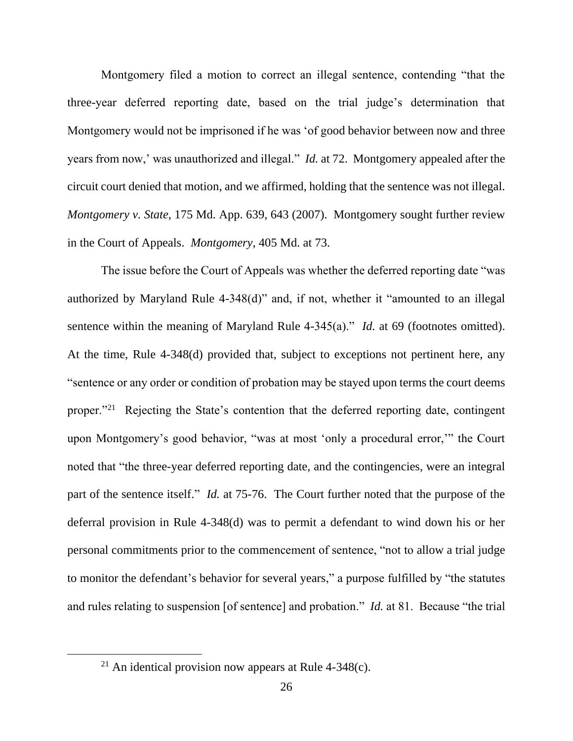Montgomery filed a motion to correct an illegal sentence, contending "that the three-year deferred reporting date, based on the trial judge's determination that Montgomery would not be imprisoned if he was 'of good behavior between now and three years from now,' was unauthorized and illegal." *Id.* at 72. Montgomery appealed after the circuit court denied that motion, and we affirmed, holding that the sentence was not illegal. *Montgomery v. State*, 175 Md. App. 639, 643 (2007). Montgomery sought further review in the Court of Appeals. *Montgomery*, 405 Md. at 73.

The issue before the Court of Appeals was whether the deferred reporting date "was authorized by Maryland Rule 4-348(d)" and, if not, whether it "amounted to an illegal sentence within the meaning of Maryland Rule 4-345(a)." *Id.* at 69 (footnotes omitted). At the time, Rule 4-348(d) provided that, subject to exceptions not pertinent here, any "sentence or any order or condition of probation may be stayed upon terms the court deems proper."<sup>21</sup> Rejecting the State's contention that the deferred reporting date, contingent upon Montgomery's good behavior, "was at most 'only a procedural error,'" the Court noted that "the three-year deferred reporting date, and the contingencies, were an integral part of the sentence itself." *Id.* at 75-76. The Court further noted that the purpose of the deferral provision in Rule 4-348(d) was to permit a defendant to wind down his or her personal commitments prior to the commencement of sentence, "not to allow a trial judge to monitor the defendant's behavior for several years," a purpose fulfilled by "the statutes and rules relating to suspension [of sentence] and probation." *Id.* at 81. Because "the trial

<sup>&</sup>lt;sup>21</sup> An identical provision now appears at Rule  $4-348(c)$ .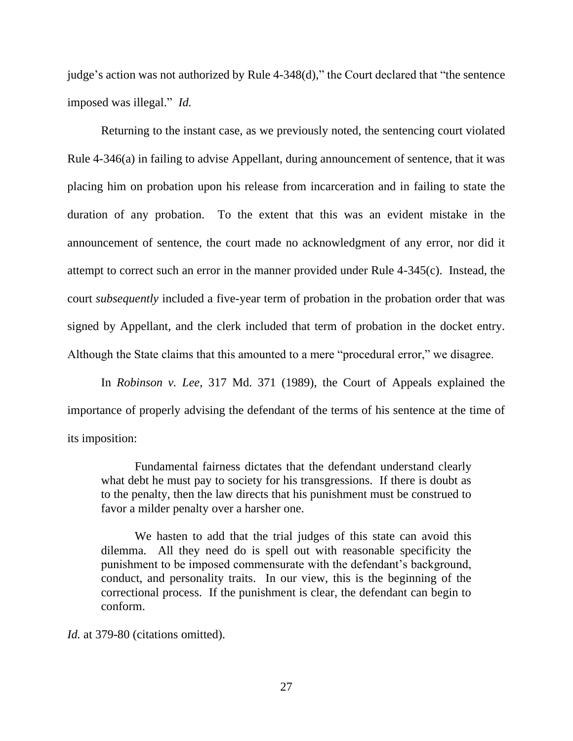judge's action was not authorized by Rule 4-348(d)," the Court declared that "the sentence imposed was illegal." *Id.*

Returning to the instant case, as we previously noted, the sentencing court violated Rule 4-346(a) in failing to advise Appellant, during announcement of sentence, that it was placing him on probation upon his release from incarceration and in failing to state the duration of any probation. To the extent that this was an evident mistake in the announcement of sentence, the court made no acknowledgment of any error, nor did it attempt to correct such an error in the manner provided under Rule 4-345(c). Instead, the court *subsequently* included a five-year term of probation in the probation order that was signed by Appellant, and the clerk included that term of probation in the docket entry. Although the State claims that this amounted to a mere "procedural error," we disagree.

In *Robinson v. Lee*, 317 Md. 371 (1989), the Court of Appeals explained the importance of properly advising the defendant of the terms of his sentence at the time of its imposition:

Fundamental fairness dictates that the defendant understand clearly what debt he must pay to society for his transgressions. If there is doubt as to the penalty, then the law directs that his punishment must be construed to favor a milder penalty over a harsher one.

We hasten to add that the trial judges of this state can avoid this dilemma. All they need do is spell out with reasonable specificity the punishment to be imposed commensurate with the defendant's background, conduct, and personality traits. In our view, this is the beginning of the correctional process. If the punishment is clear, the defendant can begin to conform.

*Id.* at 379-80 (citations omitted).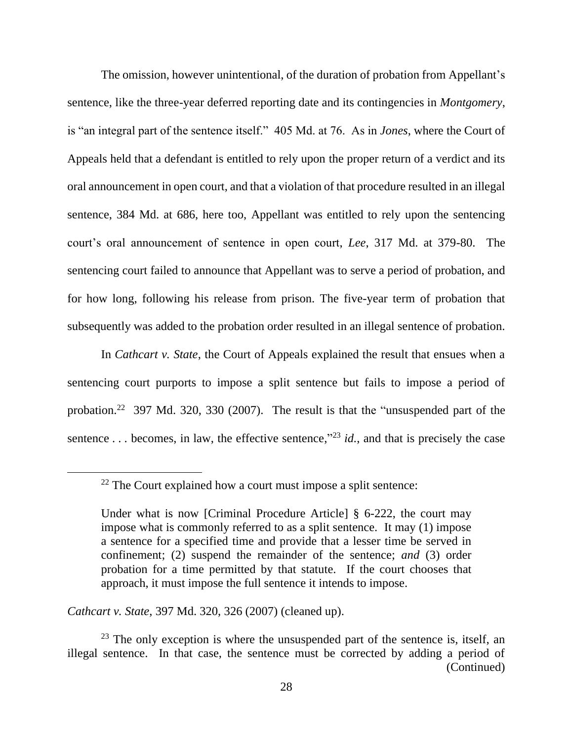The omission, however unintentional, of the duration of probation from Appellant's sentence, like the three-year deferred reporting date and its contingencies in *Montgomery*, is "an integral part of the sentence itself." 405 Md. at 76. As in *Jones*, where the Court of Appeals held that a defendant is entitled to rely upon the proper return of a verdict and its oral announcement in open court, and that a violation of that procedure resulted in an illegal sentence, 384 Md. at 686, here too, Appellant was entitled to rely upon the sentencing court's oral announcement of sentence in open court, *Lee*, 317 Md. at 379-80. The sentencing court failed to announce that Appellant was to serve a period of probation, and for how long, following his release from prison. The five-year term of probation that subsequently was added to the probation order resulted in an illegal sentence of probation.

In *Cathcart v. State*, the Court of Appeals explained the result that ensues when a sentencing court purports to impose a split sentence but fails to impose a period of probation.<sup>22</sup> 397 Md. 320, 330 (2007). The result is that the "unsuspended part of the sentence ... becomes, in law, the effective sentence,"<sup>23</sup> *id.*, and that is precisely the case

*Cathcart v. State*, 397 Md. 320, 326 (2007) (cleaned up).

 $22$  The Court explained how a court must impose a split sentence:

Under what is now [Criminal Procedure Article] § 6-222, the court may impose what is commonly referred to as a split sentence. It may (1) impose a sentence for a specified time and provide that a lesser time be served in confinement; (2) suspend the remainder of the sentence; *and* (3) order probation for a time permitted by that statute. If the court chooses that approach, it must impose the full sentence it intends to impose.

 $23$  The only exception is where the unsuspended part of the sentence is, itself, an illegal sentence. In that case, the sentence must be corrected by adding a period of (Continued)